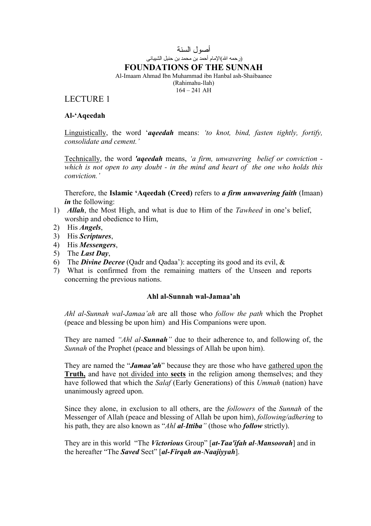# أصول السنة (رحمه االله)الإمام أحمد بن محمد بن حنبل الشيبانى **FOUNDATIONS OF THE SUNNAH**

Al-Imaam Ahmad Ibn Muhammad ibn Hanbal ash-Shaibaanee (Rahimahu-llah)  $164 - 241$  AH

## LECTURE 1

## **Al-'Aqeedah**

Linguistically, the word '*aqeedah* means: *'to knot, bind, fasten tightly, fortify, consolidate and cement.'* 

Technically, the word *'aqeedah* means, *'a firm, unwavering belief or conviction which is not open to any doubt - in the mind and heart of the one who holds this conviction.'* 

Therefore, the **Islamic 'Aqeedah (Creed)** refers to *a firm unwavering faith* (Imaan) *in* the following:

- 1) *Allah*, the Most High, and what is due to Him of the *Tawheed* in one's belief, worship and obedience to Him,
- 2) His *Angels*,
- 3) His *Scriptures*,
- 4) His *Messengers*,
- 5) The *Last Day*,
- 6) The *Divine Decree* (Qadr and Qadaa'): accepting its good and its evil, &
- 7) What is confirmed from the remaining matters of the Unseen and reports concerning the previous nations.

## **Ahl al-Sunnah wal-Jamaa'ah**

*Ahl al-Sunnah wal-Jamaa'ah* are all those who *follow the path* which the Prophet (peace and blessing be upon him) and His Companions were upon.

They are named *"Ahl al-Sunnah"* due to their adherence to, and following of, the *Sunnah* of the Prophet (peace and blessings of Allah be upon him).

They are named the "*Jamaa'ah*" because they are those who have gathered upon the **Truth,** and have not divided into **sects** in the religion among themselves; and they have followed that which the *Salaf* (Early Generations) of this *Ummah* (nation) have unanimously agreed upon.

Since they alone, in exclusion to all others, are the *followers* of the *Sunnah* of the Messenger of Allah (peace and blessing of Allah be upon him), *following/adhering* to his path, they are also known as "*Ahl al-Ittiba"* (those who *follow* strictly).

They are in this world "The *Victorious* Group" [*at-Taa'ifah al-Mansoorah*] and in the hereafter "The *Saved* Sect" [*al-Firqah an-Naajiyyah*].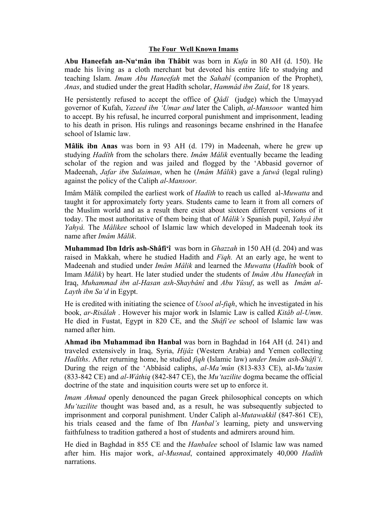### **The Four Well Known Imams**

**Abu Haneefah an-Nu'mân ibn Thâbit** was born in *Kufa* in 80 AH (d. 150). He made his living as a cloth merchant but devoted his entire life to studying and teaching Islam. *Imam Abu Haneefah* met the *Sahabî* (companion of the Prophet), *Anas*, and studied under the great Hadîth scholar, *Hammâd ibn Zaid*, for 18 years.

He persistently refused to accept the office of *Qâdî* (judge) which the Umayyad governor of Kufah, *Yazeed ibn 'Umar and* later the Caliph, *al-Mansoor* wanted him to accept. By his refusal, he incurred corporal punishment and imprisonment, leading to his death in prison. His rulings and reasonings became enshrined in the Hanafee school of Islamic law.

**Mâlik ibn Anas** was born in 93 AH (d. 179) in Madeenah, where he grew up studying *Hadîth* from the scholars there. *Imâm Mâlik* eventually became the leading scholar of the region and was jailed and flogged by the 'Abbasid governor of Madeenah, *Jafar ibn Sulaiman*, when he (*Imâm Mâlik*) gave a *fatwâ* (legal ruling) against the policy of the Caliph *al-Mansoor.*

Imâm Mâlik compiled the earliest work of *Hadîth* to reach us called al-*Muwatta* and taught it for approximately forty years. Students came to learn it from all corners of the Muslim world and as a result there exist about sixteen different versions of it today. The most authoritative of them being that of *Mâlik's* Spanish pupil, *Yahyâ ibn Yahyâ.* The *Mâlikee* school of Islamic law which developed in Madeenah took its name after *Imâm Mâlik*.

**Muhammad Ibn Idrîs ash-Shâfi'î** was born in *Ghazzah* in 150 AH (d. 204) and was raised in Makkah, where he studied Hadith and *Fiqh.* At an early age, he went to Madeenah and studied under *Imâm Mâlik* and learned the *Muwatta* (*Hadîth* book of Imam *Mâlik*) by heart. He later studied under the students of *Imâm Abu Haneefah* in Iraq, *Muhammad ibn al-Hasan ash-Shaybânî* and *Abu Yûsuf*, as well as *Imâm al-Layth ibn Sa'd* in Egypt.

He is credited with initiating the science of *Usool al*-*fiqh*, which he investigated in his book, *ar-Risâlah* . However his major work in Islamic Law is called *Kitâb al-Umm*. He died in Fustat, Egypt in 820 CE, and the *Shâfi'ee* school of Islamic law was named after him.

**Ahmad ibn Muhammad ibn Hanbal** was born in Baghdad in 164 AH (d. 241) and traveled extensively in Iraq, Syria, *Hijâz* (Western Arabia) and Yemen collecting *Hadîths*. After returning home, he studied *fiqh* (Islamic law) *under Imâm ash-Shâfi'i*. During the reign of the 'Abbâsid caliphs, *al-Ma'mûn* (813-833 CE), al-*Mu'tasim* (833-842 CE) and *al-Wâthiq* (842-847 CE), the *Mu'tazilite* dogma became the official doctrine of the state and inquisition courts were set up to enforce it.

*Imam Ahmad* openly denounced the pagan Greek philosophical concepts on which *Mu'tazilite* thought was based and, as a result, he was subsequently subjected to imprisonment and corporal punishment. Under Caliph al-*Mutawakkil* (847-861 CE), his trials ceased and the fame of Ibn *Hanbal's* learning, piety and unswerving faithfulness to tradition gathered a host of students and admirers around him.

He died in Baghdad in 855 CE and the *Hanbalee* school of Islamic law was named after him. His major work, *al-Musnad*, contained approximately 40,000 *Hadîth* narrations.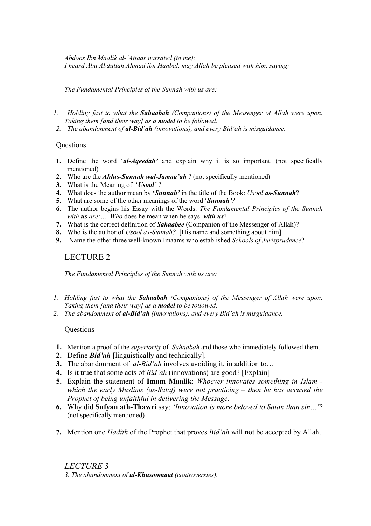*Abdoos Ibn Maalik al-'Attaar narrated (to me): I heard Abu Abdullah Ahmad ibn Hanbal, may Allah be pleased with him, saying:* 

*The Fundamental Principles of the Sunnah with us are:* 

- *1. Holding fast to what the Sahaabah (Companions) of the Messenger of Allah were upon. Taking them [and their way] as a model to be followed.*
- *2. The abandonment of al-Bid'ah (innovations), and every Bid'ah is misguidance.*

## Questions

- **1.** Define the word '*al-Aqeedah'* and explain why it is so important. (not specifically mentioned)
- **2.** Who are the *Ahlus-Sunnah wal-Jamaa'ah* ? (not specifically mentioned)
- **3.** What is the Meaning of '*Usool'* ?
- **4.** What does the author mean by **'***Sunnah'* in the title of the Book: *Usool as-Sunnah*?
- **5.** What are some of the other meanings of the word '*Sunnah'?*
- **6.** The author begins his Essay with the Words: *The Fundamental Principles of the Sunnah with us are:… Who* does he mean when he says *with us*?
- **7.** What is the correct definition of *Sahaabee* (Companion of the Messenger of Allah)?
- **8.** Who is the author of *Usool as-Sunnah?* [His name and something about him]
- **9.** Name the other three well-known Imaams who established *Schools of Jurisprudence*?

## LECTURE 2

*The Fundamental Principles of the Sunnah with us are:* 

- *1. Holding fast to what the Sahaabah (Companions) of the Messenger of Allah were upon. Taking them [and their way] as a model to be followed.*
- *2. The abandonment of al-Bid'ah (innovations), and every Bid'ah is misguidance.*

## **Ouestions**

- **1.** Mention a proof of the *superiority* of *Sahaabah* and those who immediately followed them.
- **2.** Define *Bid'ah* [linguistically and technically].
- **3.** The abandonment of *al-Bid'ah* involves avoiding it, in addition to…
- **4.** Is it true that some acts of *Bid'ah* (innovations) are good? [Explain]
- **5.** Explain the statement of **Imam Maalik**: *Whoever innovates something in Islam which the early Muslims (as-Salaf) were not practicing – then he has accused the Prophet of being unfaithful in delivering the Message.*
- **6.** Why did **Sufyan ath-Thawri** say: *'Innovation is more beloved to Satan than sin…'*? (not specifically mentioned)
- **7.** Mention one *Hadîth* of the Prophet that proves *Bid'ah* will not be accepted by Allah.

*LECTURE 3 3. The abandonment of al-Khusoomaat (controversies).*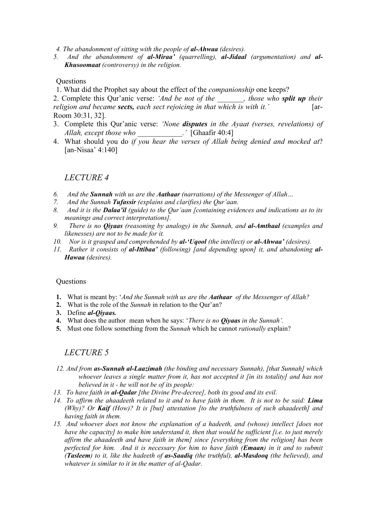- *4. The abandonment of sitting with the people of al-Ahwaa (desires).*
- *5. And the abandonment of al-Miraa' (quarrelling), al-Jidaal (argumentation) and al-Khusoomaat (controversy) in the religion.*

## **Ouestions**

1. What did the Prophet say about the effect of the *companionship* one keeps?

2. Complete this Qur'anic verse: *'And be not of the \_\_\_\_\_\_\_, those who split up their religion and became sects, each sect rejoicing in that which is with it.'* [ar-Room 30:31, 32].

- 3. Complete this Qur'anic verse: *'None disputes in the Ayaat (verses, revelations) of Allah, except those who \_\_\_\_\_\_\_\_\_\_\_\_.'* [Ghaafir 40:4]
- 4. What should you do *if you hear the verses of Allah being denied and mocked at*? [an-Nisaa' 4:140]

### *LECTURE 4*

- *6. And the Sunnah with us are the Aathaar (narrations) of the Messenger of Allah…*
- *7. And the Sunnah Tufassir (explains and clarifies) the Qur'aan.*
- *8. And it is the Dalaa'il (guide) to the Qur'aan [containing evidences and indications as to its meanings and correct interpretations].*
- *9. There is no Qiyaas (reasoning by analogy) in the Sunnah, and al-Amthaal (examples and likenesses) are not to be made for it.*
- *10. Nor is it grasped and comprehended by al-'Uqool (the intellect) or al-Ahwaa' (desires).*
- *11. Rather it consists of al-Ittibaa' (following) [and depending upon] it, and abandoning al-Hawaa (desires).*

#### **Questions**

- **1.** What is meant by: '*And the Sunnah with us are the Aathaar of the Messenger of Allah?*
- **2.** What is the role of the *Sunnah* in relation to the Qur'an?
- **3.** Define *al-Qiyaas.*
- **4.** What does the author mean when he says: '*There is no Qiyaas in the Sunnah'.*
- **5.** Must one follow something from the *Sunnah* which he cannot *rationally* explain?

### *LECTURE 5*

- *12. And from as-Sunnah al-Laazimah (the binding and necessary Sunnah), [that Sunnah] which whoever leaves a single matter from it, has not accepted it [in its totality] and has not believed in it - he will not be of its people:*
- *13. To have faith in al-Qadar [the Divine Pre-decree], both its good and its evil.*
- *14. To affirm the ahaadeeth related to it and to have faith in them. It is not to be said: Lima (Why)? Or Kaif (How)? It is [but] attestation [to the truthfulness of such ahaadeeth] and having faith in them.*
- *15. And whoever does not know the explanation of a hadeeth, and (whose) intellect [does not have the capacity] to make him understand it, then that would be sufficient [i.e. to just merely affirm the ahaadeeth and have faith in them] since [everything from the religion] has been perfected for him. And it is necessary for him to have faith (Emaan) in it and to submit (Tasleem) to it, like the hadeeth of as-Saadiq (the truthful), al-Masdooq (the believed), and whatever is similar to it in the matter of al-Qadar.*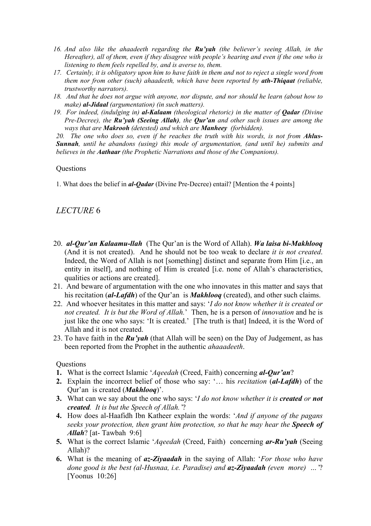- *16. And also like the ahaadeeth regarding the Ru'yah (the believer's seeing Allah, in the Hereafter), all of them, even if they disagree with people's hearing and even if the one who is listening to them feels repelled by, and is averse to, them.*
- *17. Certainly, it is obligatory upon him to have faith in them and not to reject a single word from them nor from other (such) ahaadeeth, which have been reported by ath-Thiqaat (reliable, trustworthy narrators).*
- *18. And that he does not argue with anyone, nor dispute, and nor should he learn (about how to make) al-Jidaal (argumentation) (in such matters).*
- *19. For indeed, (indulging in) al-Kalaam (theological rhetoric) in the matter of Qadar (Divine Pre-Decree), the Ru'yah (Seeing Allah), the Qur'an and other such issues are among the ways that are Makrooh (detested) and which are Manheey (forbidden).*

20. The one who does so, even if he reaches the truth with his words, is not from **Ahlus-***Sunnah, until he abandons (using) this mode of argumentation, (and until he) submits and believes in the Aathaar (the Prophetic Narrations and those of the Companions).*

### **Ouestions**

1. What does the belief in *al-Qadar* (Divine Pre-Decree) entail? [Mention the 4 points]

## *LECTURE* 6

- 20. *al-Qur'an Kalaamu-llah* (The Qur'an is the Word of Allah). *Wa laisa bi-Makhlooq* (And it is not created). And he should not be too weak to declare *it is not created*. Indeed, the Word of Allah is not [something] distinct and separate from Him [i.e., an entity in itself], and nothing of Him is created [i.e. none of Allah's characteristics, qualities or actions are created].
- 21. And beware of argumentation with the one who innovates in this matter and says that his recitation (*al-Lafdh*) of the Qur'an is *Makhlooq* (created), and other such claims.
- 22. And whoever hesitates in this matter and says: '*I do not know whether it is created or not created. It is but the Word of Allah.*' Then, he is a person of *innovation* and he is just like the one who says: 'It is created.' [The truth is that] Indeed, it is the Word of Allah and it is not created.
- 23. To have faith in the *Ru'yah* (that Allah will be seen) on the Day of Judgement, as has been reported from the Prophet in the authentic *ahaaadeeth*.

#### **Ouestions**

- **1.** What is the correct Islamic '*Aqeedah* (Creed, Faith) concerning *al-Qur'an*?
- **2.** Explain the incorrect belief of those who say: '… his *recitation* (*al-Lafdh*) of the Qur'an is created (*Makhlooq*)'.
- **3.** What can we say about the one who says: '*I do not know whether it is created or not created. It is but the Speech of Allah.'*?
- **4.** How does al-Haafidh Ibn Katheer explain the words: '*And if anyone of the pagans seeks your protection, then grant him protection, so that he may hear the Speech of Allah*? [at- Tawbah 9:6]
- **5.** What is the correct Islamic '*Aqeedah* (Creed, Faith) concerning *ar-Ru'yah* (Seeing Allah)?
- **6.** What is the meaning of *az-Ziyaadah* in the saying of Allah: '*For those who have done good is the best (al-Husnaa, i.e. Paradise) and az-Ziyaadah (even more) …'*? [Yoonus 10:26]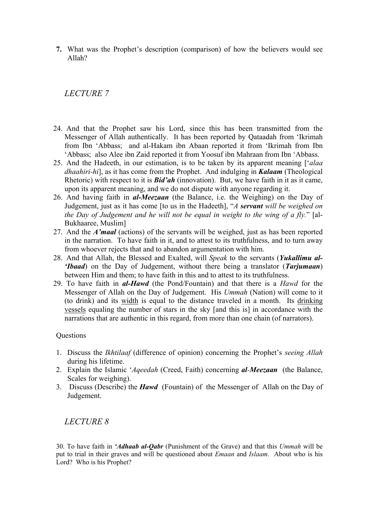**7.** What was the Prophet's description (comparison) of how the believers would see Allah?

*LECTURE 7* 

- 24. And that the Prophet saw his Lord, since this has been transmitted from the Messenger of Allah authentically. It has been reported by Qataadah from 'Ikrimah from Ibn 'Abbass; and al-Hakam ibn Abaan reported it from 'Ikrimah from Ibn 'Abbass; also Alee ibn Zaid reported it from Yoosuf ibn Mahraan from Ibn 'Abbass.
- 25. And the Hadeeth, in our estimation, is to be taken by its apparent meaning ['*alaa dhaahiri-hi*], as it has come from the Prophet. And indulging in *Kalaam* (Theological Rhetoric) with respect to it is *Bid'ah* (innovation). But, we have faith in it as it came, upon its apparent meaning, and we do not dispute with anyone regarding it.
- 26. And having faith in *al-Meezaan* (the Balance, i.e. the Weighing) on the Day of Judgement, just as it has come [to us in the Hadeeth], "*A servant will be weighed on the Day of Judgement and he will not be equal in weight to the wing of a fly.*" [al-Bukhaaree, Muslim]
- 27. And the *A'maal* (actions) of the servants will be weighed, just as has been reported in the narration. To have faith in it, and to attest to its truthfulness, and to turn away from whoever rejects that and to abandon argumentation with him.
- 28. And that Allah, the Blessed and Exalted, will *Speak* to the servants (*Yukallimu al- 'Ibaad*) on the Day of Judgement, without there being a translator (*Tarjumaan*) between Him and them; to have faith in this and to attest to its truthfulness.
- 29. To have faith in *al-Hawd* (the Pond/Fountain) and that there is a *Hawd* for the Messenger of Allah on the Day of Judgement. His *Ummah* (Nation) will come to it (to drink) and its width is equal to the distance traveled in a month. Its drinking vessels equaling the number of stars in the sky [and this is] in accordance with the narrations that are authentic in this regard, from more than one chain (of narrators).

## **Questions**

- 1. Discuss the *Ikhtilaaf* (difference of opinion) concerning the Prophet's *seeing Allah* during his lifetime.
- 2. Explain the Islamic '*Aqeedah* (Creed, Faith) concerning *al-Meezaan* (the Balance, Scales for weighing).
- 3. Discuss (Describe) the *Hawd* (Fountain) of the Messenger of Allah on the Day of Judgement.

## *LECTURE 8*

30. To have faith in *'Adhaab al-Qabr* (Punishment of the Grave) and that this *Ummah* will be put to trial in their graves and will be questioned about *Emaan* and *Islaam*. About who is his Lord? Who is his Prophet?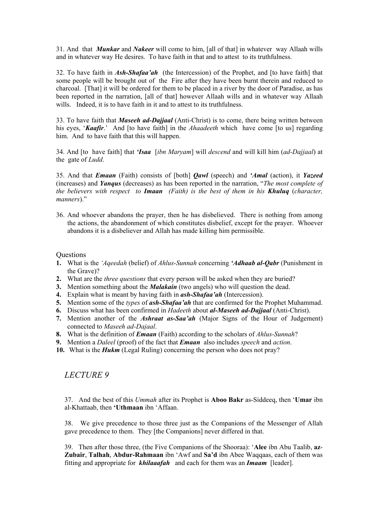31. And that *Munkar* and *Nakeer* will come to him, [all of that] in whatever way Allaah wills and in whatever way He desires. To have faith in that and to attest to its truthfulness.

32. To have faith in *Ash-Shafaa'ah* (the Intercession) of the Prophet, and [to have faith] that some people will be brought out of the Fire after they have been burnt therein and reduced to charcoal. [That] it will be ordered for them to be placed in a river by the door of Paradise, as has been reported in the narration, [all of that] however Allaah wills and in whatever way Allaah wills. Indeed, it is to have faith in it and to attest to its truthfulness.

33. To have faith that *Maseeh ad-Dajjaal* (Anti-Christ) is to come, there being written between his eyes, '*Kaafir*.' And [to have faith] in the *Ahaadeeth* which have come [to us] regarding him. And to have faith that this will happen.

34. And [to have faith] that *'Isaa* [*ibn Maryam*] will *descend* and will kill him (*ad-Dajjaal*) at the gate of *Ludd*.

35. And that *Emaan* (Faith) consists of [both] *Qawl* (speech) and *'Amal* (action), it *Yazeed*  (increases) and *Yanqus* (decreases) as has been reported in the narration, "*The most complete of the believers with respect to Imaan (Faith) is the best of them in his Khuluq* (*character, manners*)."

36. And whoever abandons the prayer, then he has disbelieved. There is nothing from among the actions, the abandonment of which constitutes disbelief, except for the prayer. Whoever abandons it is a disbeliever and Allah has made killing him permissible.

#### **Ouestions**

- **1.** What is the *'Aqeedah* (belief) of *Ahlus-Sunnah* concerning *'Adhaab al-Qabr* (Punishment in the Grave)?
- **2.** What are the *three questions* that every person will be asked when they are buried?
- **3.** Mention something about the *Malakain* (two angels) who will question the dead.
- **4.** Explain what is meant by having faith in *ash-Shafaa'ah* (Intercession).
- **5.** Mention some of the *types* of *ash-Shafaa'ah* that are confirmed for the Prophet Muhammad.
- **6.** Discuss what has been confirmed in *Hadeeth* about *al-Maseeh ad-Dajjaal* (Anti-Christ).
- **7.** Mention another of the *Ashraat as-Saa'ah* (Major Signs of the Hour of Judgement) connected to *Maseeh ad-Dajaal*.
- **8.** What is the definition of *Emaan* (Faith) according to the scholars of *Ahlus-Sunnah*?
- **9.** Mention a *Daleel* (proof) of the fact that *Emaan* also includes *speech* and *action*.
- **10.** What is the *Hukm* (Legal Ruling) concerning the person who does not pray?

## *LECTURE 9*

37. And the best of this *Ummah* after its Prophet is **Aboo Bakr** as-Siddeeq, then '**Umar** ibn al-Khattaab, then **'Uthmaan** ibn 'Affaan.

38. We give precedence to those three just as the Companions of the Messenger of Allah gave precedence to them. They [the Companions] never differed in that.

39. Then after those three, (the Five Companions of the Shooraa): '**Alee** ibn Abu Taalib, **az**-**Zubair**, **Talhah**, **Abdur-Rahmaan** ibn 'Awf and **Sa'd** ibn Abee Waqqaas, each of them was fitting and appropriate for *khilaaafah* and each for them was an *Imaam* [leader].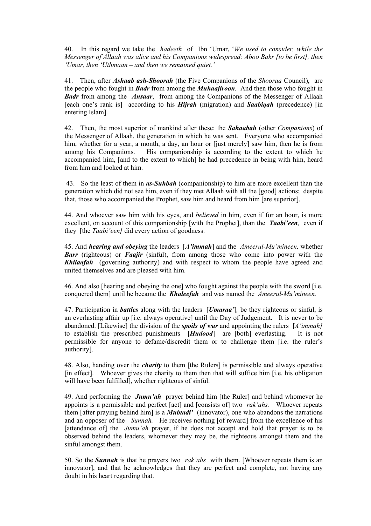40. In this regard we take the *hadeeth* of Ibn 'Umar, '*We used to consider, while the Messenger of Allaah was alive and his Companions widespread: Aboo Bakr [to be first], then 'Umar, then 'Uthmaan – and then we remained quiet.'* 

41. Then, after *Ashaab ash-Shoorah* (the Five Companions of the *Shooraa* Council)*,* are the people who fought in *Badr* from among the *Muhaajiroon.* And then those who fought in *Badr* from among the *Ansaar*, from among the Companions of the Messenger of Allaah [each one's rank is] according to his *Hijrah* (migration) and *Saabiqah* (precedence) [in entering Islam].

42. Then, the most superior of mankind after these: the *Sahaabah* (other *Companions*) of the Messenger of Allaah, the generation in which he was sent. Everyone who accompanied him, whether for a year, a month, a day, an hour or [just merely] saw him, then he is from among his Companions. His companionship is according to the extent to which he accompanied him, [and to the extent to which] he had precedence in being with him, heard from him and looked at him.

 43. So the least of them in *as-Suhbah* (companionship) to him are more excellent than the generation which did not see him, even if they met Allaah with all the [good] actions; despite that, those who accompanied the Prophet, saw him and heard from him [are superior].

44. And whoever saw him with his eyes, and *believed* in him, even if for an hour, is more excellent, on account of this companionship [with the Prophet], than the *Taabi'een,* even if they [the *Taabi'een]* did every action of goodness.

45. And *hearing and obeying* the leaders [*A'immah*] and the *Ameerul-Mu'mineen,* whether *Barr* (righteous) or *Faajir* (sinful), from among those who come into power with the **Khilaafah** (governing authority) and with respect to whom the people have agreed and united themselves and are pleased with him.

46. And also [hearing and obeying the one] who fought against the people with the sword [i.e. conquered them] until he became the *Khaleefah* and was named the *Ameerul-Mu'mineen.* 

47. Participation in *battles* along with the leaders [*Umaraa'*]*,* be they righteous or sinful, is an everlasting affair up [i.e. always operative] until the Day of Judgement. It is never to be abandoned. [Likewise] the division of the *spoils of war* and appointing the rulers [*A'immah]*  to establish the prescribed punishments [*Hudood*] are [both] everlasting. It is not permissible for anyone to defame/discredit them or to challenge them [i.e. the ruler's authority].

48. Also, handing over the *charity* to them [the Rulers] is permissible and always operative [in effect]. Whoever gives the charity to them then that will suffice him [i.e. his obligation will have been fulfilled], whether righteous of sinful.

49. And performing the *Jumu'ah* prayer behind him [the Ruler] and behind whomever he appoints is a permissible and perfect [act] and [consists of] two *rak'ahs.* Whoever repeats them [after praying behind him] is a *Mubtadi'* (innovator), one who abandons the narrations and an opposer of the *Sunnah.* He receives nothing [of reward] from the excellence of his [attendance of] the *Jumu'ah* prayer, if he does not accept and hold that prayer is to be observed behind the leaders, whomever they may be, the righteous amongst them and the sinful amongst them.

50. So the *Sunnah* is that he prayers two *rak'ahs* with them. [Whoever repeats them is an innovator], and that he acknowledges that they are perfect and complete, not having any doubt in his heart regarding that.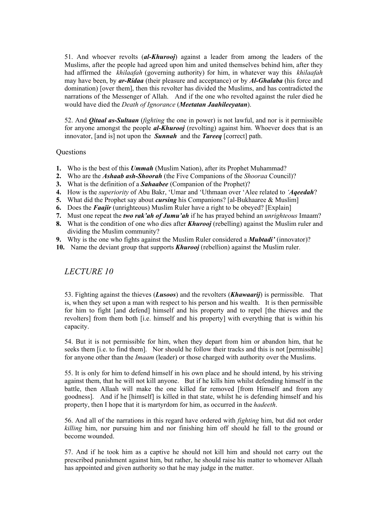51. And whoever revolts (*al-Khurooj*) against a leader from among the leaders of the Muslims, after the people had agreed upon him and united themselves behind him, after they had affirmed the *khilaafah* (governing authority) for him, in whatever way this *khilaafah*  may have been, by *ar-Ridaa* (their pleasure and acceptance) or by *Al-Ghalaba* (his force and domination) [over them], then this revolter has divided the Muslims, and has contradicted the narrations of the Messenger of Allah. And if the one who revolted against the ruler died he would have died the *Death of Ignorance* (*Meetatan Jaahileeyatan*).

52. And *Qitaal as-Sultaan* (*fighting* the one in power) is not lawful, and nor is it permissible for anyone amongst the people *al-Khurooj* (revolting) against him. Whoever does that is an innovator, [and is] not upon the *Sunnah* and the *Tareeq* [correct] path.

### **Ouestions**

- **1.** Who is the best of this *Ummah* (Muslim Nation), after its Prophet Muhammad?
- **2.** Who are the *Ashaab ash-Shoorah* (the Five Companions of the *Shooraa* Council)?
- **3.** What is the definition of a *Sahaabee* (Companion of the Prophet)?
- **4.** How is the *superiority* of Abu Bakr, 'Umar and 'Uthmaan over 'Alee related to *'Aqeedah*?
- **5.** What did the Prophet say about *cursing* his Companions? [al-Bukhaaree & Muslim]
- **6.** Does the *Faajir* (unrighteous) Muslim Ruler have a right to be obeyed? [Explain]
- **7.** Must one repeat the *two rak'ah of Jumu'ah* if he has prayed behind an *unrighteous* Imaam?
- **8.** What is the condition of one who dies after *Khurooj* (rebelling) against the Muslim ruler and dividing the Muslim community?
- **9.** Why is the one who fights against the Muslim Ruler considered a *Mubtadi'* (innovator)?
- **10.** Name the deviant group that supports *Khurooj* (rebellion) against the Muslim ruler.

*LECTURE 10* 

53. Fighting against the thieves (*Lusoos*) and the revolters (*Khawaarij*) is permissible. That is, when they set upon a man with respect to his person and his wealth. It is then permissible for him to fight [and defend] himself and his property and to repel [the thieves and the revolters] from them both [i.e. himself and his property] with everything that is within his capacity.

54. But it is not permissible for him, when they depart from him or abandon him, that he seeks them [i.e. to find them]. Nor should he follow their tracks and this is not [permissible] for anyone other than the *Imaam* (leader) or those charged with authority over the Muslims.

55. It is only for him to defend himself in his own place and he should intend, by his striving against them, that he will not kill anyone. But if he kills him whilst defending himself in the battle, then Allaah will make the one killed far removed [from Himself and from any goodness]. And if he [himself] is killed in that state, whilst he is defending himself and his property, then I hope that it is martyrdom for him, as occurred in the *hadeeth*.

56. And all of the narrations in this regard have ordered with *fighting* him, but did not order *killing* him, nor pursuing him and nor finishing him off should he fall to the ground or become wounded.

57. And if he took him as a captive he should not kill him and should not carry out the prescribed punishment against him, but rather, he should raise his matter to whomever Allaah has appointed and given authority so that he may judge in the matter.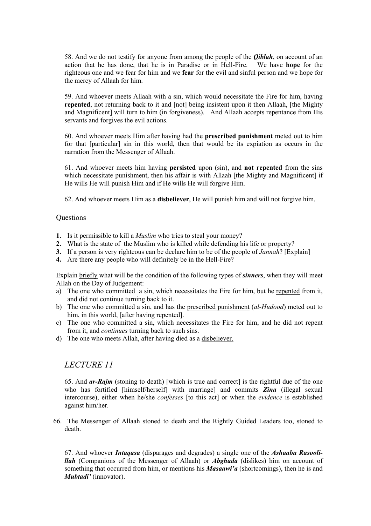58. And we do not testify for anyone from among the people of the *Qiblah*, on account of an action that he has done, that he is in Paradise or in Hell-Fire. We have **hope** for the righteous one and we fear for him and we **fear** for the evil and sinful person and we hope for the mercy of Allaah for him.

59. And whoever meets Allaah with a sin, which would necessitate the Fire for him, having **repented**, not returning back to it and [not] being insistent upon it then Allaah, [the Mighty and Magnificent] will turn to him (in forgiveness). And Allaah accepts repentance from His servants and forgives the evil actions.

60. And whoever meets Him after having had the **prescribed punishment** meted out to him for that [particular] sin in this world, then that would be its expiation as occurs in the narration from the Messenger of Allaah.

61. And whoever meets him having **persisted** upon (sin), and **not repented** from the sins which necessitate punishment, then his affair is with Allaah [the Mighty and Magnificent] if He wills He will punish Him and if He wills He will forgive Him.

62. And whoever meets Him as a **disbeliever**, He will punish him and will not forgive him.

#### **Ouestions**

- **1.** Is it permissible to kill a *Muslim* who tries to steal your money?
- **2.** What is the state of the Muslim who is killed while defending his life or property?
- **3.** If a person is very righteous can be declare him to be of the people of *Jannah*? [Explain]
- **4.** Are there any people who will definitely be in the Hell-Fire?

Explain briefly what will be the condition of the following types of *sinners*, when they will meet Allah on the Day of Judgement:

- a) The one who committed a sin, which necessitates the Fire for him, but he repented from it, and did not continue turning back to it.
- b) The one who committed a sin, and has the prescribed punishment (*al-Hudood*) meted out to him, in this world, [after having repented].
- c) The one who committed a sin, which necessitates the Fire for him, and he did not repent from it, and *continues* turning back to such sins.
- d) The one who meets Allah, after having died as a disbeliever.

## *LECTURE 11*

65. And *ar-Rajm* (stoning to death) [which is true and correct] is the rightful due of the one who has fortified [himself/herself] with marriage] and commits *Zina* (illegal sexual intercourse), either when he/she *confesses* [to this act] or when the *evidence* is established against him/her.

66. The Messenger of Allaah stoned to death and the Rightly Guided Leaders too, stoned to death.

67. And whoever *Intaqasa* (disparages and degrades) a single one of the *Ashaabu Rasoolillah* (Companions of the Messenger of Allaah) or *Abghada* (dislikes) him on account of something that occurred from him, or mentions his *Masaawi'a* (shortcomings), then he is and *Mubtadi'* (innovator).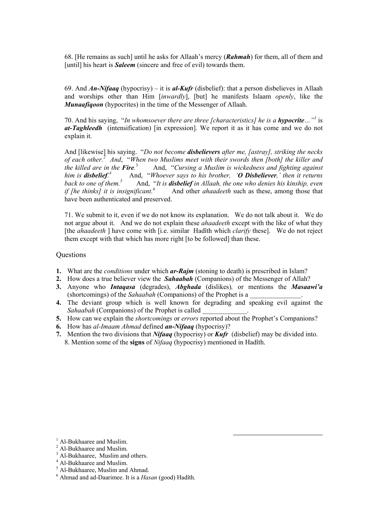68. [He remains as such] until he asks for Allaah's mercy (*Rahmah*) for them, all of them and [until] his heart is **Saleem** (sincere and free of evil) towards them.

69. And *An-Nifaaq* (hypocrisy) – it is *al-Kufr* (disbelief): that a person disbelieves in Allaah and worships other than Him [*inwardly*], [but] he manifests Islaam *openly*, like the *Munaafiqoon* (hypocrites) in the time of the Messenger of Allaah.

70. And his saying, "*In whomsoever there are three [characteristics] he is a <i>hypocrite*..."<sup>1</sup> is *at-Taghleedh* (intensification) [in expression]. We report it as it has come and we do not explain it.

And [likewise] his saying. "*Do not become disbelievers after me, [astray], striking the necks of each other.<sup>2</sup> And*, "*When two Muslims meet with their swords then [both] the killer and the killed are in the Fire.* <sup>3</sup>And, "*Cursing a Muslim is wickedness and fighting against him is disbelief. 4* And, "*Whoever says to his brother, 'O Disbeliever,' then it returns back to one of them.5* And, "*It is disbelief in Allaah, the one who denies his kinship, even if [he thinks] it is insignificant.*<sup>6</sup> And other *ahaadeeth* such as these, among those that have been authenticated and preserved.

71. We submit to it, even if we do not know its explanation. We do not talk about it. We do not argue about it. And we do not explain these *ahaadeeth* except with the like of what they [the *ahaadeeth* ] have come with [i.e. similar Hadîth which *clarify* these]. We do not reject them except with that which has more right [to be followed] than these.

#### **Questions**

- **1.** What are the *conditions* under which *ar-Rajm* (stoning to death) is prescribed in Islam?
- **2.** How does a true believer view the *Sahaabah* (Companions) of the Messenger of Allah?
- **3.** Anyone who *Intaqasa* (degrades), *Abghada* (dislikes)*,* or mentions the *Masaawi'a*  (shortcomings) of the *Sahaabah* (Companions) of the Prophet is a \_\_\_\_\_\_\_\_\_\_\_\_\_\_\_.
- **4.** The deviant group which is well known for degrading and speaking evil against the *Sahaabah* (Companions) of the Prophet is called
- **5.** How can we explain the *shortcomings* or *errors* reported about the Prophet's Companions?
- **6.** How has *al-Imaam Ahmad* defined *an-Nifaaq* (hypocrisy)?
- **7.** Mention the two divisions that *Nifaaq* (hypocrisy) or *Kufr* (disbelief) may be divided into. 8. Mention some of the **signs** of *Nifaaq* (hypocrisy) mentioned in Hadîth.

<sup>5</sup> Al-Bukhaaree, Muslim and Ahmad.

<sup>&</sup>lt;sup>1</sup> Al-Bukhaaree and Muslim.

<sup>&</sup>lt;sup>2</sup> Al-Bukhaaree and Muslim.

<sup>&</sup>lt;sup>3</sup> Al-Bukhaaree, Muslim and others.

<sup>4</sup> Al-Bukhaaree and Muslim.

<sup>6</sup> Ahmad and ad-Daarimee. It is a *Hasan* (good) Hadîth.